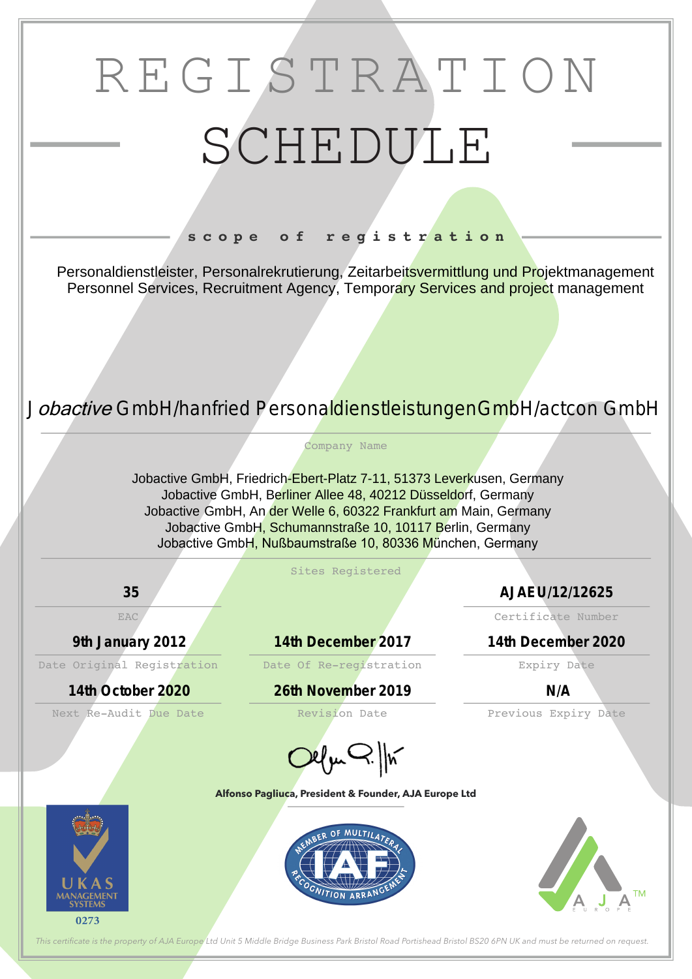# REGISTRATION SCHEDULE

### **s c o p e o f r e g i s t r a t i o n**

#### **Alfonso Pagliuca, President & Founder, AJA Europe Ltd**









Company Name





*This certifcate is the property of AJA Europe Ltd Unit 5 Middle Bridge Business Park Bristol Road Portishead Bristol BS20 6PN UK and must be returned on request.*

Personaldienstleister, Personalrekrutierung, Zeitarbeitsvermittlung und Projektmanagement Personnel Services, Recruitment Agency, Temporary Services and project management

> Jobactive GmbH, Friedrich-Ebert-Platz 7-11, 51373 Leverkusen, Germany Jobactive GmbH, Berliner Allee 48, 40212 Düsseldorf, Germany Jobactive GmbH, An der Welle 6, 60322 Frankfurt am Main, Germany Jobactive GmbH, Schumannstraße 10, 10117 Berlin, Germany Jobactive GmbH, Nußbaumstraße 10, 80336 München, Germany

## *J*obactive *GmbH/hanfried PersonaldienstleistungenGmbH/actcon GmbH*